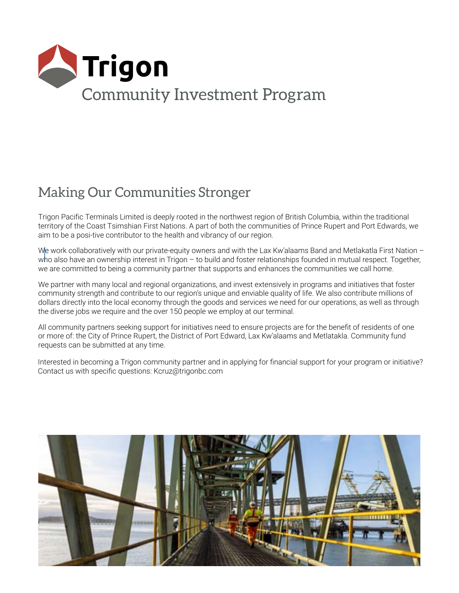

## Making Our Communities Stronger

Trigon Pacific Terminals Limited is deeply rooted in the northwest region of British Columbia, within the traditional territory of the Coast Tsimshian First Nations. A part of both the communities of Prince Rupert and Port Edwards, we aim to be a posi-tive contributor to the health and vibrancy of our region.

We work collaboratively with our private-equity owners and with the Lax Kw'alaams Band and Metlakatla First Nation who also have an ownership interest in Trigon – to build and foster relationships founded in mutual respect. Together, we are committed to being a community partner that supports and enhances the communities we call home.

We partner with many local and regional organizations, and invest extensively in programs and initiatives that foster community strength and contribute to our region's unique and enviable quality of life. We also contribute millions of dollars directly into the local economy through the goods and services we need for our operations, as well as through the diverse jobs we require and the over 150 people we employ at our terminal.

All community partners seeking support for initiatives need to ensure projects are for the benefit of residents of one or more of: the City of Prince Rupert, the District of Port Edward, Lax Kw'alaams and Metlatakla. Community fund requests can be submitted at any time.

Interested in becoming a Trigon community partner and in applying for financial support for your program or initiative? Contact us with specific questions: Kcruz@trigonbc.com

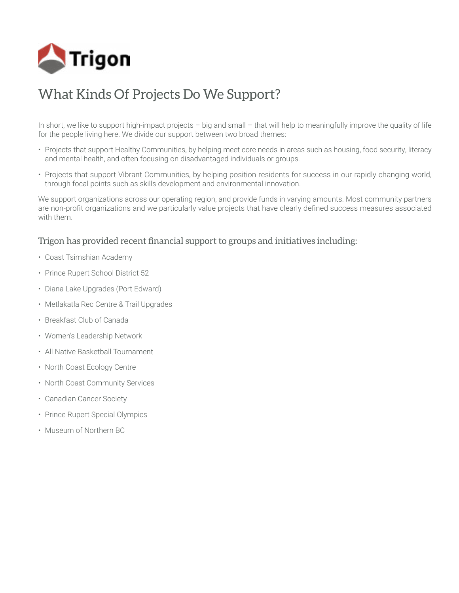

## What Kinds Of Projects Do We Support?

In short, we like to support high-impact projects – big and small – that will help to meaningfully improve the quality of life for the people living here. We divide our support between two broad themes:

- Projects that support Healthy Communities, by helping meet core needs in areas such as housing, food security, literacy and mental health, and often focusing on disadvantaged individuals or groups.
- Projects that support Vibrant Communities, by helping position residents for success in our rapidly changing world, through focal points such as skills development and environmental innovation.

We support organizations across our operating region, and provide funds in varying amounts. Most community partners are non-profit organizations and we particularly value projects that have clearly defined success measures associated with them.

#### Trigon has provided recent financial support to groups and initiatives including:

- Coast Tsimshian Academy
- Prince Rupert School District 52
- Diana Lake Upgrades (Port Edward)
- Metlakatla Rec Centre & Trail Upgrades
- Breakfast Club of Canada
- Women's Leadership Network
- All Native Basketball Tournament
- North Coast Ecology Centre
- North Coast Community Services
- Canadian Cancer Society
- Prince Rupert Special Olympics
- Museum of Northern BC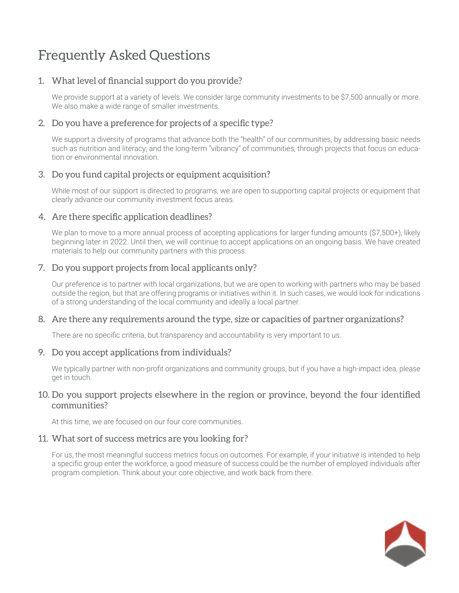# Frequently Asked Questions

#### 1. What level of financial support do you provide?

We provide support at a variety of levels. We consider large community investments to be \$7,500 annually or more. We also make a wide range of smaller investments.

#### 2. Do you have a preference for projects of a specific type?

We support a diversity of programs that advance both the "health" of our communities, by addressing basic needs such as nutrition and literacy; and the long-term "vibrancy" of communities, through projects that focus on education or environmental innovation.

#### 3. Do you fund capital projects or equipment acquisition?

While most of our support is directed to programs, we are open to supporting capital projects or equipment that clearly advance our community investment focus areas.

#### 4. Are there specific application deadlines?

We plan to move to a more annual process of accepting applications for larger funding amounts (\$7,500+), likely beginning later in 2022. Until then, we will continue to accept applications on an ongoing basis. We have created materials to help our community partners with this process.

#### 7. Do you support projects from local applicants only?

Our preference is to partner with local organizations, but we are open to working with partners who may be based outside the region, but that are offering programs or initiatives within it. In such cases, we would look for indications of a strong understanding of the local community and ideally a local partner.

#### 8. Are there any requirements around the type, size or capacities of partner organizations?

There are no specific criteria, but transparency and accountability is very important to us.

#### 9. Do you accept applications from individuals?

We typically partner with non-profit organizations and community groups, but if you have a high-impact idea, please get in touch.

#### 10. Do you support projects elsewhere in the region or province, beyond the four identified communities?

At this time, we are focused on our four core communities.

#### 11. What sort of success metrics are you looking for?

For us, the most meaningful success metrics focus on outcomes. For example, if your initiative is intended to help a specific group enter the workforce, a good measure of success could be the number of employed individuals after program completion. Think about your core objective, and work back from there.

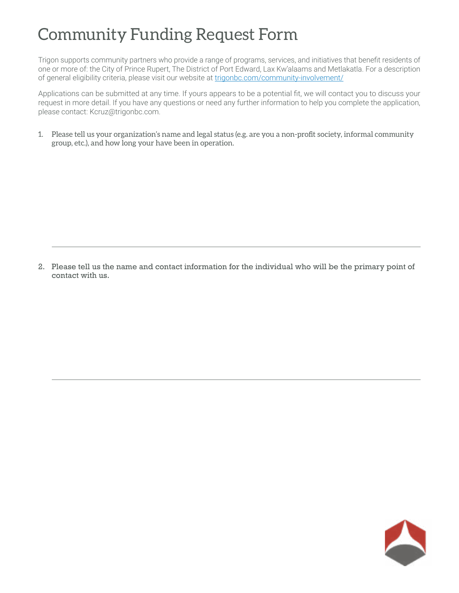# Community Funding Request Form

Trigon supports community partners who provide a range of programs, services, and initiatives that benefit residents of one or more of: the City of Prince Rupert, The District of Port Edward, Lax Kw'alaams and Metlakatla. For a description of general eligibility criteria, please visit our website at trigonbc.com[/community-involvement/](https://www.rti.ca/community-involvement/)

Applications can be submitted at any time. If yours appears to be a potential fit, we will contact you to discuss your request in more detail. If you have any questions or need any further information to help you complete the application, please contact: Kcruz@trigonbc.com.

1. Please tell us your organization's name and legal status (e.g. are you a non-profit society, informal community group, etc.), and how long your have been in operation.

2. Please tell us the name and contact information for the individual who will be the primary point of contact with us.

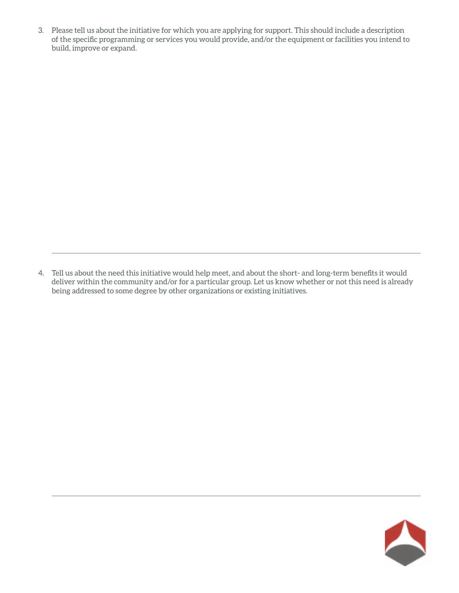3. Please tell us about the initiative for which you are applying for support. This should include a description of the specific programming or services you would provide, and/or the equipment or facilities you intend to build, improve or expand.

4. Tell us about the need this initiative would help meet, and about the short- and long-term benefits it would deliver within the community and/or for a particular group. Let us know whether or not this need is already being addressed to some degree by other organizations or existing initiatives.

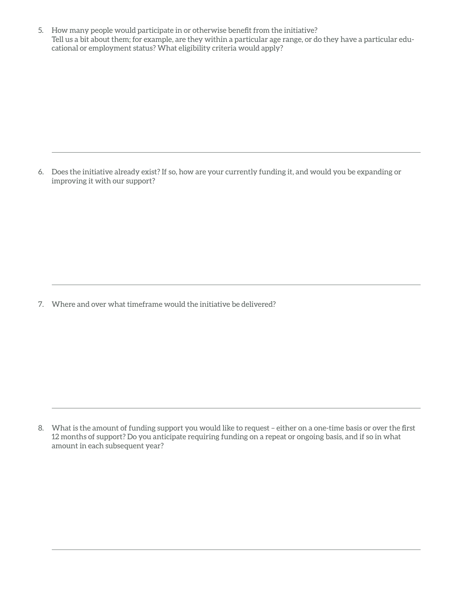5. How many people would participate in or otherwise benefit from the initiative? Tell us a bit about them; for example, are they within a particular age range, or do they have a particular educational or employment status? What eligibility criteria would apply?

6. Does the initiative already exist? If so, how are your currently funding it, and would you be expanding or improving it with our support?

7. Where and over what timeframe would the initiative be delivered?

<sup>8.</sup> What is the amount of funding support you would like to request – either on a one-time basis or over the first 12 months of support? Do you anticipate requiring funding on a repeat or ongoing basis, and if so in what amount in each subsequent year?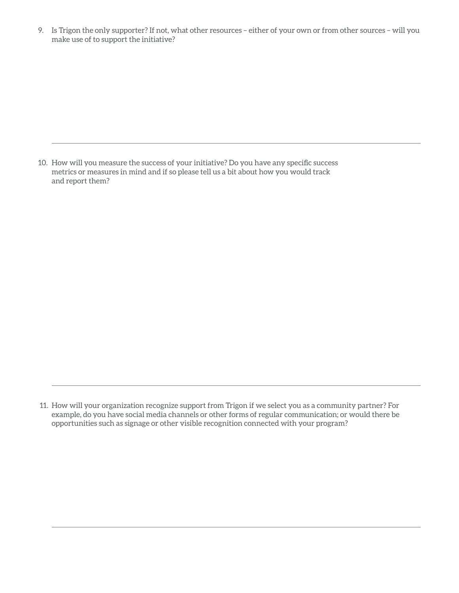9. Is Trigon the only supporter? If not, what other resources – either of your own or from other sources – will you make use of to support the initiative?

10. How will you measure the success of your initiative? Do you have any specific success metrics or measures in mind and if so please tell us a bit about how you would track and report them?

 <sup>11.</sup> How will your organization recognize support from Trigon if we select you as a community partner? For example, do you have social media channels or other forms of regular communication; or would there be opportunities such as signage or other visible recognition connected with your program?